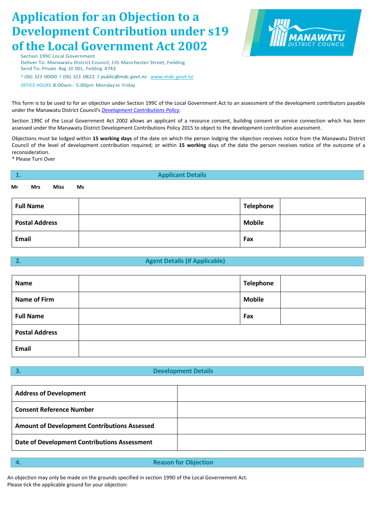# **Application for an Objection to a Development Contribution under s19 of the Local Government Act 2002**

ANAWATU

Section 199C Local Government Deliver To: Manawatu District Council, 135 Manchester Street, Feilding Send To: Private Bag 10 001, Feilding 4743 T (06) 323 0000 F (06) 323 0822 E *public@mdc.govt.nz [www.mdc.govt.nz](http://www.mdc.govt.nz/)* OFFICE HOURS 8:00am- 5:00pm Monday to Friday

This form is to be used to for an objection under Section 199C of the Local Government Act to an assessment of the development contributors payable under the Manawatu District Council's *[Development Contributions Policy](http://resources.ccc.govt.nz/files/TheCouncil/policiesreportsstrategies/ltccp/typ2013/TYPDevelopmentContributionsPolicy.pdf)*.

Section 199C of the Local Government Act 2002 allows an applicant of a resource consent, building consent or service connection which has been assessed under the Manawatu District Development Contributions Policy 2015 to object to the development contribution assessment.

Objections must be lodged within **15 working days** of the date on which the person lodging the objection receives notice from the Manawatu District Council of the level of development contribution required; or within **15 working** days of the date the person receives notice of the outcome of a reconsideration.

\* Please Turn Over

| 1.                      | <b>Applicant Details</b> |  |  |  |
|-------------------------|--------------------------|--|--|--|
| Miss<br>Mr<br>Mrs<br>Ms |                          |  |  |  |
| <b>Full Name</b>        | <b>Telephone</b>         |  |  |  |
| <b>Postal Address</b>   | <b>Mobile</b>            |  |  |  |
| Email                   | Fax                      |  |  |  |

## **2. Agent Details (If Applicable)**

| <b>Name</b>           | <b>Telephone</b> |  |
|-----------------------|------------------|--|
| <b>Name of Firm</b>   | <b>Mobile</b>    |  |
| <b>Full Name</b>      | Fax              |  |
| <b>Postal Address</b> |                  |  |
| <b>Email</b>          |                  |  |

## **3. Development Details**

| <b>Address of Development</b>                       |  |
|-----------------------------------------------------|--|
| <b>Consent Reference Number</b>                     |  |
| <b>Amount of Development Contributions Assessed</b> |  |
| <b>Date of Development Contributions Assessment</b> |  |
|                                                     |  |

**4. Reason for Objection**

An objection may only be made on the grounds specified in section 199D of the Local Governement Act. Please tick the applicable ground for your objection: